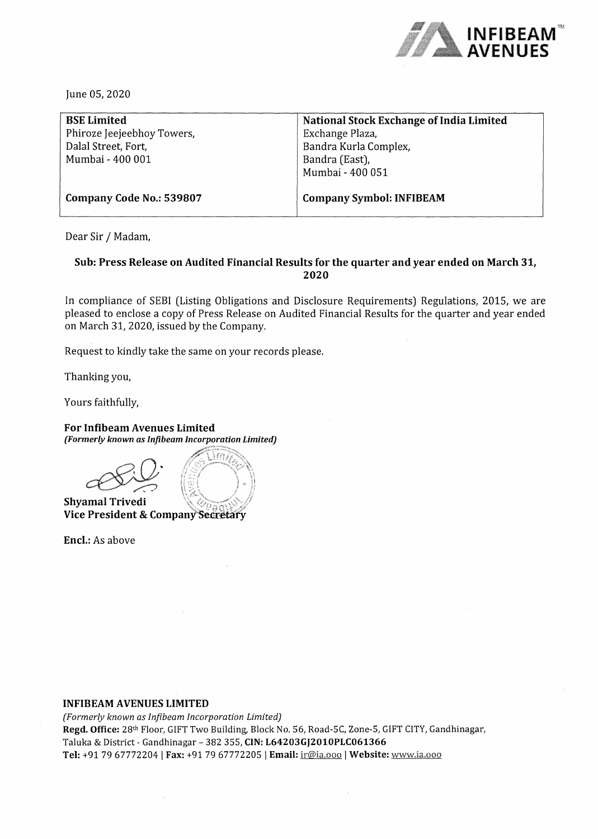

June OS, 2020

| <b>BSE Limited</b>         | National Stock Exchange of India Limited |
|----------------------------|------------------------------------------|
| Phiroze Jeejeebhoy Towers, | Exchange Plaza,                          |
| Dalal Street, Fort,        | Bandra Kurla Complex,                    |
| Mumbai - 400 001           | Bandra (East),                           |
|                            | Mumbai - 400 051                         |
| Company Code No.: 539807   | <b>Company Symbol: INFIBEAM</b>          |

Dear Sir / Madam,

### **Sub: Press Release on Audited Financial Results for the quarter and year ended on March 31, 2020**

In compliance of SEBI (Listing Obligations and Disclosure Requirements) Regulations, 2015, we are pleased to enclose a copy of Press Release on Audited Financial Results for the quarter and year ended on March 31, 2020, issued by the Company.

Request to kindly take the same on your records please.

Thanking you,

Yours faithfully,

#### **For Infibeam Avenues Limited**  *(Formerly known as Infibeam Incorporation Limited)*

**Shyamal Trivedi Vice President** &

**Encl.:** As above

#### **INFIBEAM AVENUES LIMITED**

*(Formerly known as lnfibeam Incorporation Limited)*  **Regd. Office:** 28th Floor, GIFT Two Building, Block No. 56, Road-SC, Zone-5, GIFT CITY, Gandhinagar, Taluka & District - Gandhinagar - 382 355, **CIN: L64203GJ2010PLC061366 Tel:** +91 79 67772204 I **Fax:** +91 79 67772205 I **Email:** ir@ia.ooo I **Website:** www.ia.ooo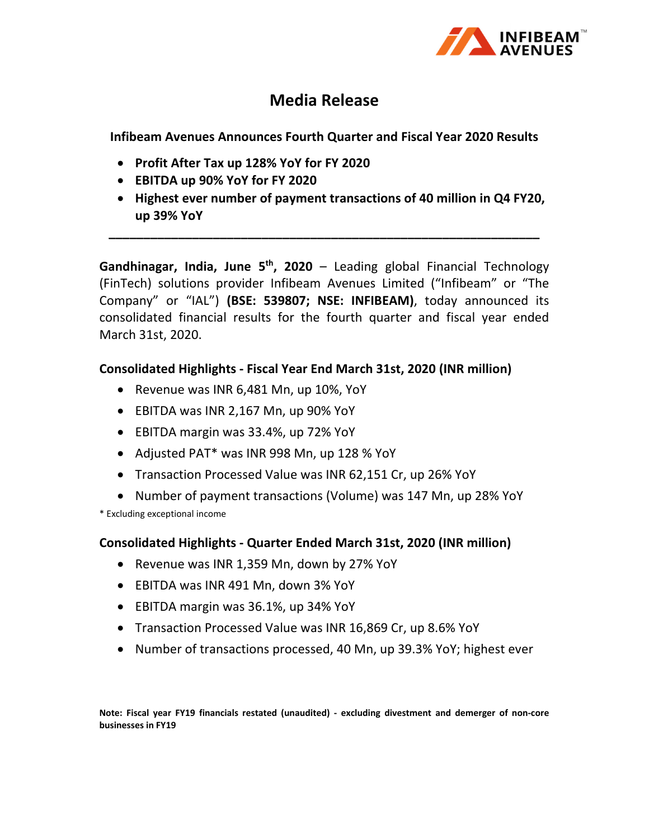

# **Media Release**

**Infibeam Avenues Announces Fourth Quarter and Fiscal Year 2020 Results**

- **Profit After Tax up 128% YoY for FY 2020**
- **EBITDA up 90% YoY for FY 2020**
- **Highest ever number of payment transactions of 40 million in Q4 FY20, up 39% YoY**

**\_\_\_\_\_\_\_\_\_\_\_\_\_\_\_\_\_\_\_\_\_\_\_\_\_\_\_\_\_\_\_\_\_\_\_\_\_\_\_\_\_\_\_\_\_\_\_\_\_\_\_\_\_\_\_\_\_\_\_\_\_\_**

**Gandhinagar, India, June 5th, 2020** – Leading global Financial Technology (FinTech) solutions provider Infibeam Avenues Limited ("Infibeam" or "The Company" or "IAL") **(BSE: 539807; NSE: INFIBEAM)**, today announced its consolidated financial results for the fourth quarter and fiscal year ended March 31st, 2020.

### **Consolidated Highlights ‐ Fiscal Year End March 31st, 2020 (INR million)**

- Revenue was INR 6,481 Mn, up 10%, YoY
- EBITDA was INR 2,167 Mn, up 90% YoY
- EBITDA margin was 33.4%, up 72% YoY
- Adjusted PAT\* was INR 998 Mn, up 128 % YoY
- Transaction Processed Value was INR 62,151 Cr, up 26% YoY
- Number of payment transactions (Volume) was 147 Mn, up 28% YoY

\* Excluding exceptional income

### **Consolidated Highlights ‐ Quarter Ended March 31st, 2020 (INR million)**

- Revenue was INR 1,359 Mn, down by 27% YoY
- EBITDA was INR 491 Mn, down 3% YoY
- EBITDA margin was 36.1%, up 34% YoY
- Transaction Processed Value was INR 16,869 Cr, up 8.6% YoY
- Number of transactions processed, 40 Mn, up 39.3% YoY; highest ever

**Note: Fiscal year FY19 financials restated (unaudited) ‐ excluding divestment and demerger of non‐core businesses in FY19**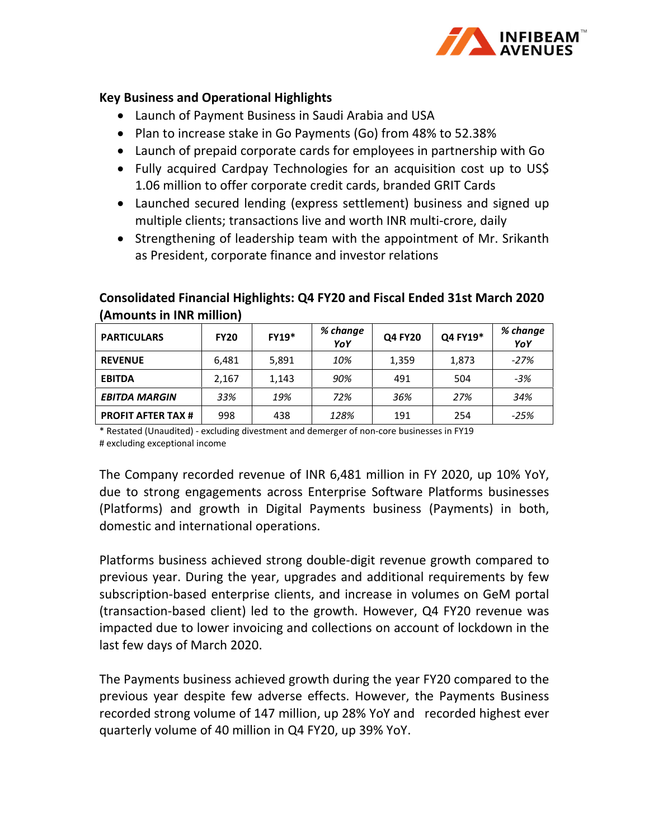

### **Key Business and Operational Highlights**

- Launch of Payment Business in Saudi Arabia and USA
- Plan to increase stake in Go Payments (Go) from 48% to 52.38%
- Launch of prepaid corporate cards for employees in partnership with Go
- Fully acquired Cardpay Technologies for an acquisition cost up to US\$ 1.06 million to offer corporate credit cards, branded GRIT Cards
- Launched secured lending (express settlement) business and signed up multiple clients; transactions live and worth INR multi‐crore, daily
- Strengthening of leadership team with the appointment of Mr. Srikanth as President, corporate finance and investor relations

| <b>PARTICULARS</b>        | <b>FY20</b> | <b>FY19*</b> | % change<br>YoY | <b>Q4 FY20</b> | Q4 FY19* | % change<br>YoY |
|---------------------------|-------------|--------------|-----------------|----------------|----------|-----------------|
| <b>REVENUE</b>            | 6,481       | 5,891        | 10%             | 1,359          | 1,873    | $-27%$          |
| <b>EBITDA</b>             | 2,167       | 1,143        | 90%             | 491            | 504      | $-3%$           |
| <b>EBITDA MARGIN</b>      | 33%         | 19%          | 72%             | 36%            | 27%      | 34%             |
| <b>PROFIT AFTER TAX #</b> | 998         | 438          | 128%            | 191            | 254      | $-25%$          |

## **Consolidated Financial Highlights: Q4 FY20 and Fiscal Ended 31st March 2020 (Amounts in INR million)**

\* Restated (Unaudited) ‐ excluding divestment and demerger of non‐core businesses in FY19 # excluding exceptional income

The Company recorded revenue of INR 6,481 million in FY 2020, up 10% YoY, due to strong engagements across Enterprise Software Platforms businesses (Platforms) and growth in Digital Payments business (Payments) in both, domestic and international operations.

Platforms business achieved strong double‐digit revenue growth compared to previous year. During the year, upgrades and additional requirements by few subscription‐based enterprise clients, and increase in volumes on GeM portal (transaction‐based client) led to the growth. However, Q4 FY20 revenue was impacted due to lower invoicing and collections on account of lockdown in the last few days of March 2020.

The Payments business achieved growth during the year FY20 compared to the previous year despite few adverse effects. However, the Payments Business recorded strong volume of 147 million, up 28% YoY and recorded highest ever quarterly volume of 40 million in Q4 FY20, up 39% YoY.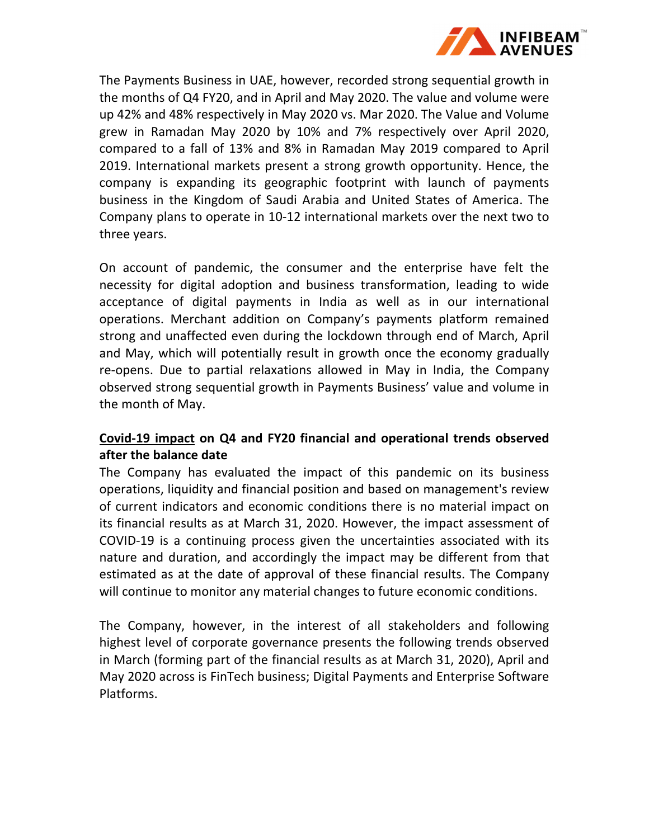

The Payments Business in UAE, however, recorded strong sequential growth in the months of Q4 FY20, and in April and May 2020. The value and volume were up 42% and 48% respectively in May 2020 vs. Mar 2020. The Value and Volume grew in Ramadan May 2020 by 10% and 7% respectively over April 2020, compared to a fall of 13% and 8% in Ramadan May 2019 compared to April 2019. International markets present a strong growth opportunity. Hence, the company is expanding its geographic footprint with launch of payments business in the Kingdom of Saudi Arabia and United States of America. The Company plans to operate in 10‐12 international markets over the next two to three years.

On account of pandemic, the consumer and the enterprise have felt the necessity for digital adoption and business transformation, leading to wide acceptance of digital payments in India as well as in our international operations. Merchant addition on Company's payments platform remained strong and unaffected even during the lockdown through end of March, April and May, which will potentially result in growth once the economy gradually re-opens. Due to partial relaxations allowed in May in India, the Company observed strong sequential growth in Payments Business' value and volume in the month of May.

## **Covid‐19 impact on Q4 and FY20 financial and operational trends observed after the balance date**

The Company has evaluated the impact of this pandemic on its business operations, liquidity and financial position and based on management's review of current indicators and economic conditions there is no material impact on its financial results as at March 31, 2020. However, the impact assessment of COVID‐19 is a continuing process given the uncertainties associated with its nature and duration, and accordingly the impact may be different from that estimated as at the date of approval of these financial results. The Company will continue to monitor any material changes to future economic conditions.

The Company, however, in the interest of all stakeholders and following highest level of corporate governance presents the following trends observed in March (forming part of the financial results as at March 31, 2020), April and May 2020 across is FinTech business; Digital Payments and Enterprise Software Platforms.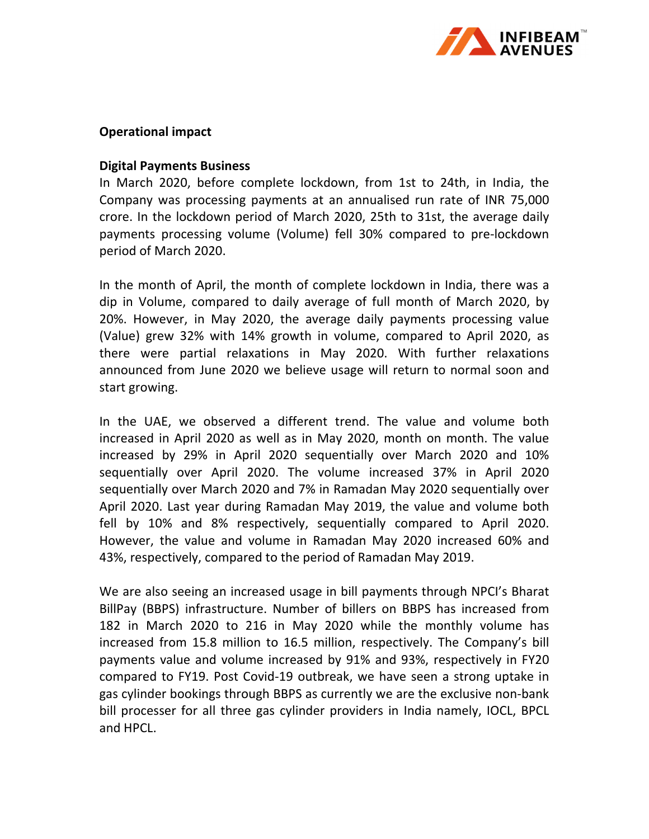

### **Operational impact**

### **Digital Payments Business**

In March 2020, before complete lockdown, from 1st to 24th, in India, the Company was processing payments at an annualised run rate of INR 75,000 crore. In the lockdown period of March 2020, 25th to 31st, the average daily payments processing volume (Volume) fell 30% compared to pre‐lockdown period of March 2020.

In the month of April, the month of complete lockdown in India, there was a dip in Volume, compared to daily average of full month of March 2020, by 20%. However, in May 2020, the average daily payments processing value (Value) grew 32% with 14% growth in volume, compared to April 2020, as there were partial relaxations in May 2020. With further relaxations announced from June 2020 we believe usage will return to normal soon and start growing.

In the UAE, we observed a different trend. The value and volume both increased in April 2020 as well as in May 2020, month on month. The value increased by 29% in April 2020 sequentially over March 2020 and 10% sequentially over April 2020. The volume increased 37% in April 2020 sequentially over March 2020 and 7% in Ramadan May 2020 sequentially over April 2020. Last year during Ramadan May 2019, the value and volume both fell by 10% and 8% respectively, sequentially compared to April 2020. However, the value and volume in Ramadan May 2020 increased 60% and 43%, respectively, compared to the period of Ramadan May 2019.

We are also seeing an increased usage in bill payments through NPCI's Bharat BillPay (BBPS) infrastructure. Number of billers on BBPS has increased from 182 in March 2020 to 216 in May 2020 while the monthly volume has increased from 15.8 million to 16.5 million, respectively. The Company's bill payments value and volume increased by 91% and 93%, respectively in FY20 compared to FY19. Post Covid‐19 outbreak, we have seen a strong uptake in gas cylinder bookings through BBPS as currently we are the exclusive non‐bank bill processer for all three gas cylinder providers in India namely, IOCL, BPCL and HPCL.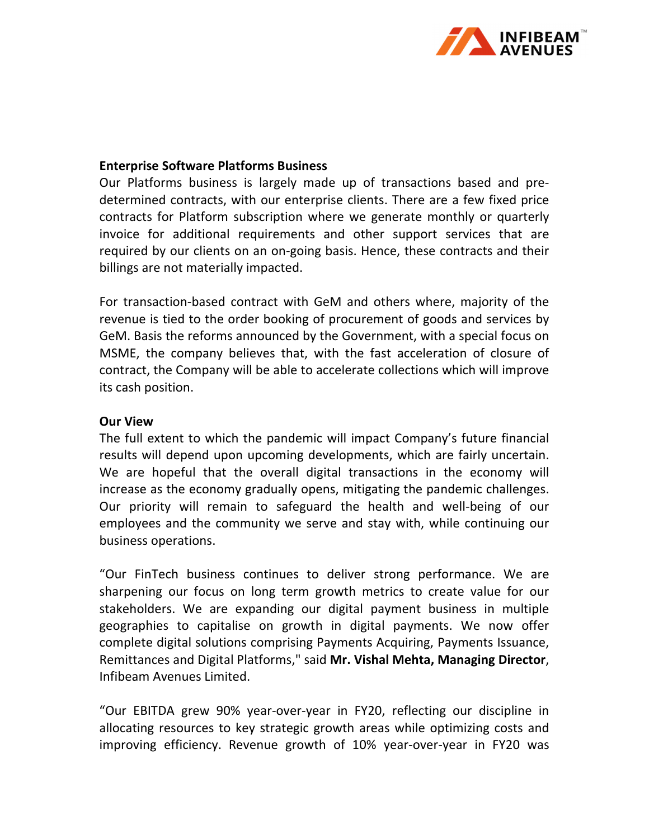

### **Enterprise Software Platforms Business**

Our Platforms business is largely made up of transactions based and pre‐ determined contracts, with our enterprise clients. There are a few fixed price contracts for Platform subscription where we generate monthly or quarterly invoice for additional requirements and other support services that are required by our clients on an on‐going basis. Hence, these contracts and their billings are not materially impacted.

For transaction‐based contract with GeM and others where, majority of the revenue is tied to the order booking of procurement of goods and services by GeM. Basis the reforms announced by the Government, with a special focus on MSME, the company believes that, with the fast acceleration of closure of contract, the Company will be able to accelerate collections which will improve its cash position.

### **Our View**

The full extent to which the pandemic will impact Company's future financial results will depend upon upcoming developments, which are fairly uncertain. We are hopeful that the overall digital transactions in the economy will increase as the economy gradually opens, mitigating the pandemic challenges. Our priority will remain to safeguard the health and well‐being of our employees and the community we serve and stay with, while continuing our business operations.

"Our FinTech business continues to deliver strong performance. We are sharpening our focus on long term growth metrics to create value for our stakeholders. We are expanding our digital payment business in multiple geographies to capitalise on growth in digital payments. We now offer complete digital solutions comprising Payments Acquiring, Payments Issuance, Remittances and Digital Platforms," said **Mr. Vishal Mehta, Managing Director**, Infibeam Avenues Limited.

"Our EBITDA grew 90% year‐over‐year in FY20, reflecting our discipline in allocating resources to key strategic growth areas while optimizing costs and improving efficiency. Revenue growth of 10% year-over-year in FY20 was